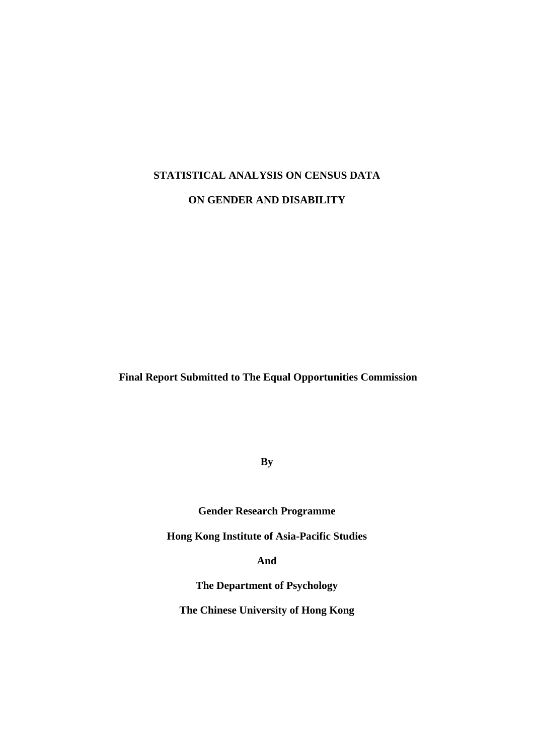## **STATISTICAL ANALYSIS ON CENSUS DATA**

**ON GENDER AND DISABILITY**

**Final Report Submitted to The Equal Opportunities Commission** 

**By**

**Gender Research Programme**

**Hong Kong Institute of Asia-Pacific Studies**

**And** 

**The Department of Psychology**

**The Chinese University of Hong Kong**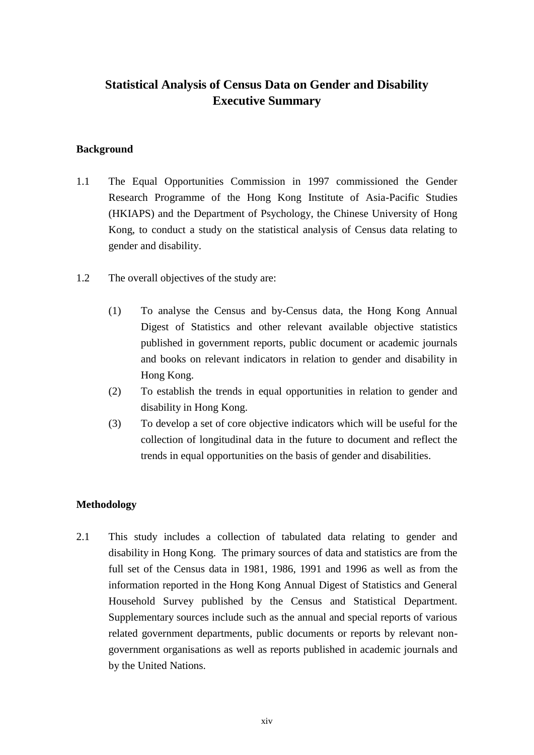# **Statistical Analysis of Census Data on Gender and Disability Executive Summary**

## **Background**

- 1.1 The Equal Opportunities Commission in 1997 commissioned the Gender Research Programme of the Hong Kong Institute of Asia-Pacific Studies (HKIAPS) and the Department of Psychology, the Chinese University of Hong Kong, to conduct a study on the statistical analysis of Census data relating to gender and disability.
- 1.2 The overall objectives of the study are:
	- (1) To analyse the Census and by-Census data, the Hong Kong Annual Digest of Statistics and other relevant available objective statistics published in government reports, public document or academic journals and books on relevant indicators in relation to gender and disability in Hong Kong.
	- (2) To establish the trends in equal opportunities in relation to gender and disability in Hong Kong.
	- (3) To develop a set of core objective indicators which will be useful for the collection of longitudinal data in the future to document and reflect the trends in equal opportunities on the basis of gender and disabilities.

# **Methodology**

2.1 This study includes a collection of tabulated data relating to gender and disability in Hong Kong. The primary sources of data and statistics are from the full set of the Census data in 1981, 1986, 1991 and 1996 as well as from the information reported in the Hong Kong Annual Digest of Statistics and General Household Survey published by the Census and Statistical Department. Supplementary sources include such as the annual and special reports of various related government departments, public documents or reports by relevant nongovernment organisations as well as reports published in academic journals and by the United Nations.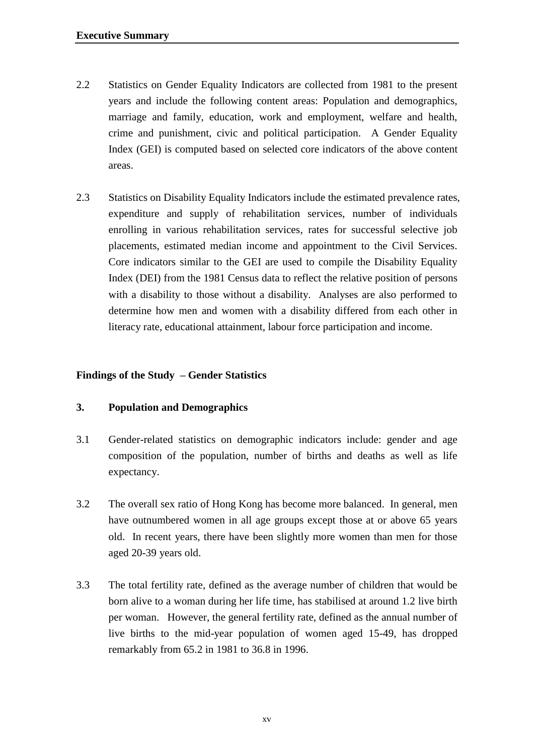- 2.2 Statistics on Gender Equality Indicators are collected from 1981 to the present years and include the following content areas: Population and demographics, marriage and family, education, work and employment, welfare and health, crime and punishment, civic and political participation. A Gender Equality Index (GEI) is computed based on selected core indicators of the above content areas.
- 2.3 Statistics on Disability Equality Indicators include the estimated prevalence rates, expenditure and supply of rehabilitation services, number of individuals enrolling in various rehabilitation services, rates for successful selective job placements, estimated median income and appointment to the Civil Services. Core indicators similar to the GEI are used to compile the Disability Equality Index (DEI) from the 1981 Census data to reflect the relative position of persons with a disability to those without a disability. Analyses are also performed to determine how men and women with a disability differed from each other in literacy rate, educational attainment, labour force participation and income.

## **Findings of the Study – Gender Statistics**

#### **3. Population and Demographics**

- 3.1 Gender-related statistics on demographic indicators include: gender and age composition of the population, number of births and deaths as well as life expectancy.
- 3.2 The overall sex ratio of Hong Kong has become more balanced. In general, men have outnumbered women in all age groups except those at or above 65 years old. In recent years, there have been slightly more women than men for those aged 20-39 years old.
- 3.3 The total fertility rate, defined as the average number of children that would be born alive to a woman during her life time, has stabilised at around 1.2 live birth per woman. However, the general fertility rate, defined as the annual number of live births to the mid-year population of women aged 15-49, has dropped remarkably from 65.2 in 1981 to 36.8 in 1996.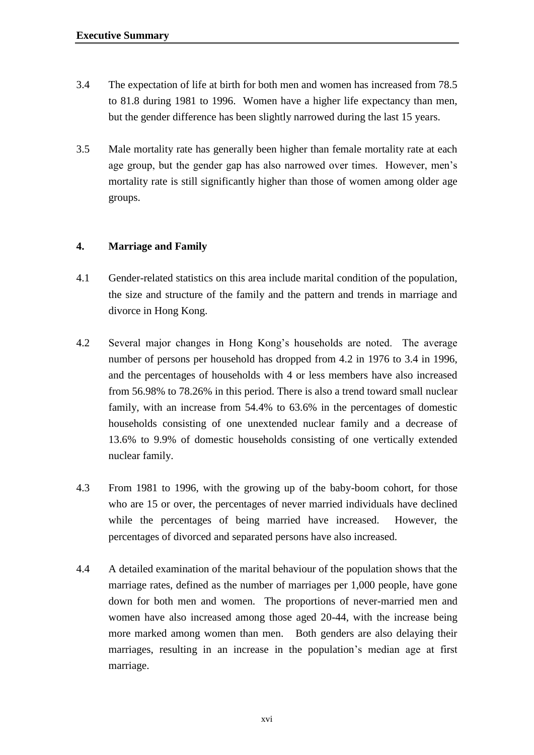- 3.4 The expectation of life at birth for both men and women has increased from 78.5 to 81.8 during 1981 to 1996. Women have a higher life expectancy than men, but the gender difference has been slightly narrowed during the last 15 years.
- 3.5 Male mortality rate has generally been higher than female mortality rate at each age group, but the gender gap has also narrowed over times. However, men's mortality rate is still significantly higher than those of women among older age groups.

## **4. Marriage and Family**

- 4.1 Gender-related statistics on this area include marital condition of the population, the size and structure of the family and the pattern and trends in marriage and divorce in Hong Kong.
- 4.2 Several major changes in Hong Kong's households are noted. The average number of persons per household has dropped from 4.2 in 1976 to 3.4 in 1996, and the percentages of households with 4 or less members have also increased from 56.98% to 78.26% in this period. There is also a trend toward small nuclear family, with an increase from 54.4% to 63.6% in the percentages of domestic households consisting of one unextended nuclear family and a decrease of 13.6% to 9.9% of domestic households consisting of one vertically extended nuclear family.
- 4.3 From 1981 to 1996, with the growing up of the baby-boom cohort, for those who are 15 or over, the percentages of never married individuals have declined while the percentages of being married have increased. However, the percentages of divorced and separated persons have also increased.
- 4.4 A detailed examination of the marital behaviour of the population shows that the marriage rates, defined as the number of marriages per 1,000 people, have gone down for both men and women. The proportions of never-married men and women have also increased among those aged 20-44, with the increase being more marked among women than men. Both genders are also delaying their marriages, resulting in an increase in the population's median age at first marriage.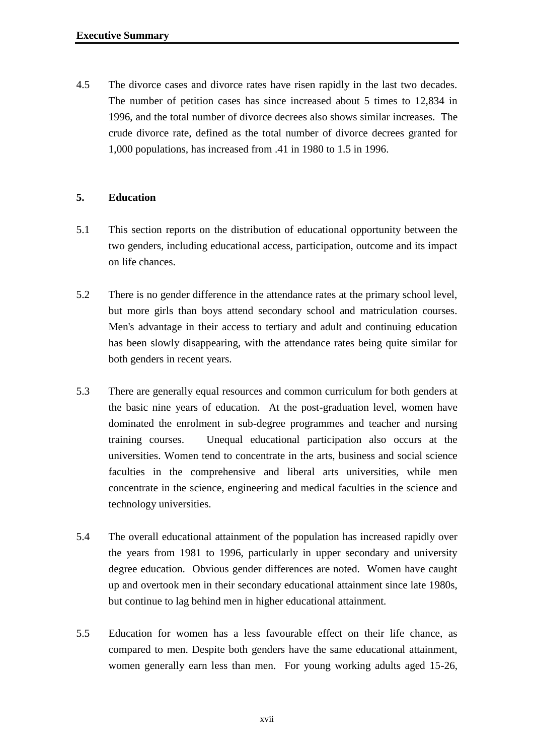4.5 The divorce cases and divorce rates have risen rapidly in the last two decades. The number of petition cases has since increased about 5 times to 12,834 in 1996, and the total number of divorce decrees also shows similar increases. The crude divorce rate, defined as the total number of divorce decrees granted for 1,000 populations, has increased from .41 in 1980 to 1.5 in 1996.

# **5. Education**

- 5.1 This section reports on the distribution of educational opportunity between the two genders, including educational access, participation, outcome and its impact on life chances.
- 5.2 There is no gender difference in the attendance rates at the primary school level, but more girls than boys attend secondary school and matriculation courses. Men's advantage in their access to tertiary and adult and continuing education has been slowly disappearing, with the attendance rates being quite similar for both genders in recent years.
- 5.3 There are generally equal resources and common curriculum for both genders at the basic nine years of education. At the post-graduation level, women have dominated the enrolment in sub-degree programmes and teacher and nursing training courses. Unequal educational participation also occurs at the universities. Women tend to concentrate in the arts, business and social science faculties in the comprehensive and liberal arts universities, while men concentrate in the science, engineering and medical faculties in the science and technology universities.
- 5.4 The overall educational attainment of the population has increased rapidly over the years from 1981 to 1996, particularly in upper secondary and university degree education. Obvious gender differences are noted. Women have caught up and overtook men in their secondary educational attainment since late 1980s, but continue to lag behind men in higher educational attainment.
- 5.5 Education for women has a less favourable effect on their life chance, as compared to men. Despite both genders have the same educational attainment, women generally earn less than men. For young working adults aged 15-26,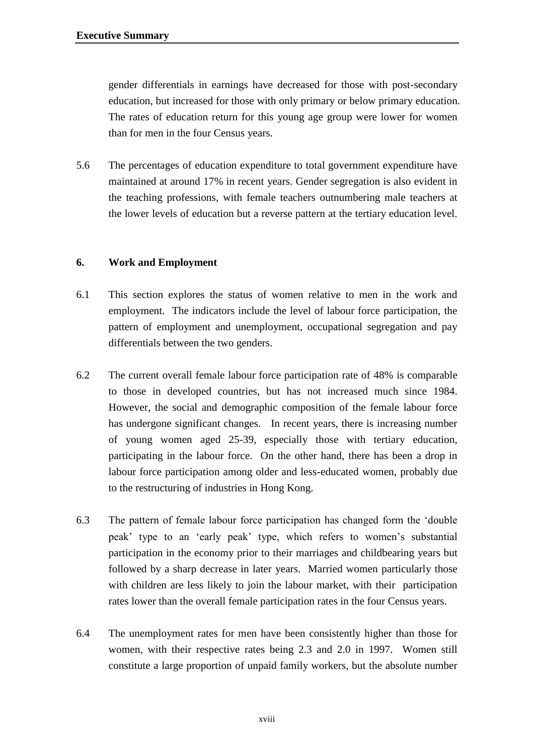gender differentials in earnings have decreased for those with post-secondary education, but increased for those with only primary or below primary education. The rates of education return for this young age group were lower for women than for men in the four Census years.

5.6 The percentages of education expenditure to total government expenditure have maintained at around 17% in recent years. Gender segregation is also evident in the teaching professions, with female teachers outnumbering male teachers at the lower levels of education but a reverse pattern at the tertiary education level.

# **6. Work and Employment**

- 6.1 This section explores the status of women relative to men in the work and employment. The indicators include the level of labour force participation, the pattern of employment and unemployment, occupational segregation and pay differentials between the two genders.
- 6.2 The current overall female labour force participation rate of 48% is comparable to those in developed countries, but has not increased much since 1984. However, the social and demographic composition of the female labour force has undergone significant changes. In recent years, there is increasing number of young women aged 25-39, especially those with tertiary education, participating in the labour force. On the other hand, there has been a drop in labour force participation among older and less-educated women, probably due to the restructuring of industries in Hong Kong.
- 6.3 The pattern of female labour force participation has changed form the 'double peak' type to an 'early peak' type, which refers to women's substantial participation in the economy prior to their marriages and childbearing years but followed by a sharp decrease in later years. Married women particularly those with children are less likely to join the labour market, with their participation rates lower than the overall female participation rates in the four Census years.
- 6.4 The unemployment rates for men have been consistently higher than those for women, with their respective rates being 2.3 and 2.0 in 1997. Women still constitute a large proportion of unpaid family workers, but the absolute number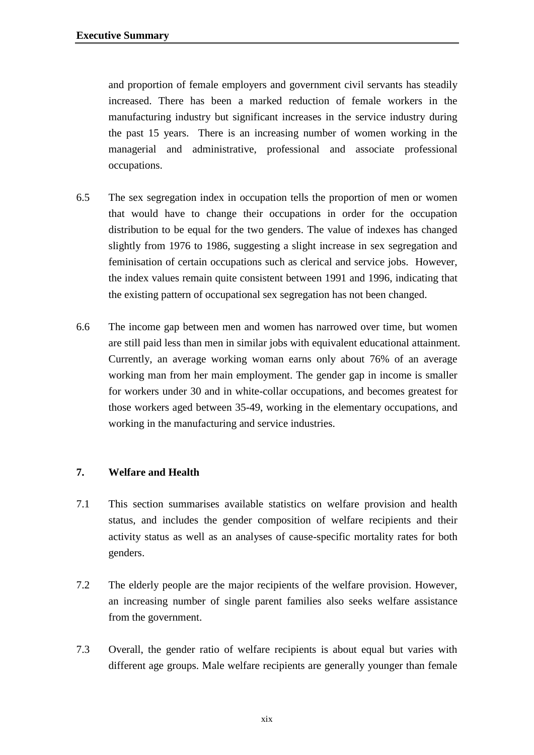and proportion of female employers and government civil servants has steadily increased. There has been a marked reduction of female workers in the manufacturing industry but significant increases in the service industry during the past 15 years. There is an increasing number of women working in the managerial and administrative, professional and associate professional occupations.

- 6.5 The sex segregation index in occupation tells the proportion of men or women that would have to change their occupations in order for the occupation distribution to be equal for the two genders. The value of indexes has changed slightly from 1976 to 1986, suggesting a slight increase in sex segregation and feminisation of certain occupations such as clerical and service jobs. However, the index values remain quite consistent between 1991 and 1996, indicating that the existing pattern of occupational sex segregation has not been changed.
- 6.6 The income gap between men and women has narrowed over time, but women are still paid less than men in similar jobs with equivalent educational attainment. Currently, an average working woman earns only about 76% of an average working man from her main employment. The gender gap in income is smaller for workers under 30 and in white-collar occupations, and becomes greatest for those workers aged between 35-49, working in the elementary occupations, and working in the manufacturing and service industries.

#### **7. Welfare and Health**

- 7.1 This section summarises available statistics on welfare provision and health status, and includes the gender composition of welfare recipients and their activity status as well as an analyses of cause-specific mortality rates for both genders.
- 7.2 The elderly people are the major recipients of the welfare provision. However, an increasing number of single parent families also seeks welfare assistance from the government.
- 7.3 Overall, the gender ratio of welfare recipients is about equal but varies with different age groups. Male welfare recipients are generally younger than female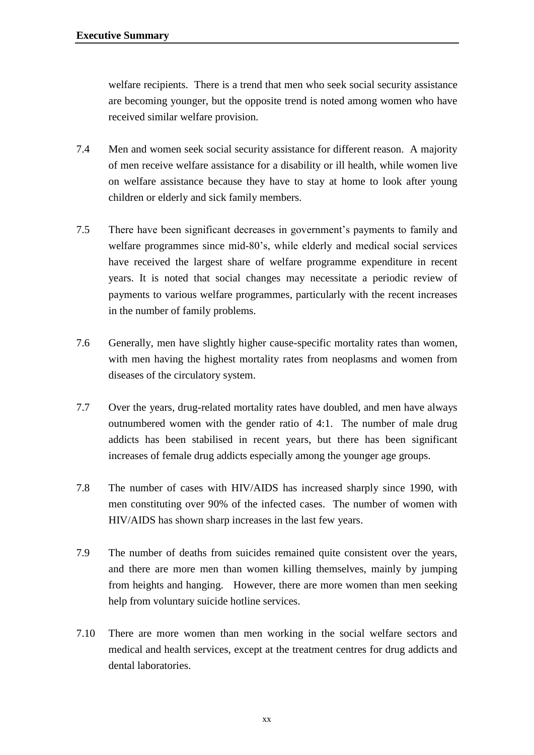welfare recipients. There is a trend that men who seek social security assistance are becoming younger, but the opposite trend is noted among women who have received similar welfare provision.

- 7.4 Men and women seek social security assistance for different reason. A majority of men receive welfare assistance for a disability or ill health, while women live on welfare assistance because they have to stay at home to look after young children or elderly and sick family members.
- 7.5 There have been significant decreases in government's payments to family and welfare programmes since mid-80's, while elderly and medical social services have received the largest share of welfare programme expenditure in recent years. It is noted that social changes may necessitate a periodic review of payments to various welfare programmes, particularly with the recent increases in the number of family problems.
- 7.6 Generally, men have slightly higher cause-specific mortality rates than women, with men having the highest mortality rates from neoplasms and women from diseases of the circulatory system.
- 7.7 Over the years, drug-related mortality rates have doubled, and men have always outnumbered women with the gender ratio of 4:1. The number of male drug addicts has been stabilised in recent years, but there has been significant increases of female drug addicts especially among the younger age groups.
- 7.8 The number of cases with HIV/AIDS has increased sharply since 1990, with men constituting over 90% of the infected cases. The number of women with HIV/AIDS has shown sharp increases in the last few years.
- 7.9 The number of deaths from suicides remained quite consistent over the years, and there are more men than women killing themselves, mainly by jumping from heights and hanging. However, there are more women than men seeking help from voluntary suicide hotline services.
- 7.10 There are more women than men working in the social welfare sectors and medical and health services, except at the treatment centres for drug addicts and dental laboratories.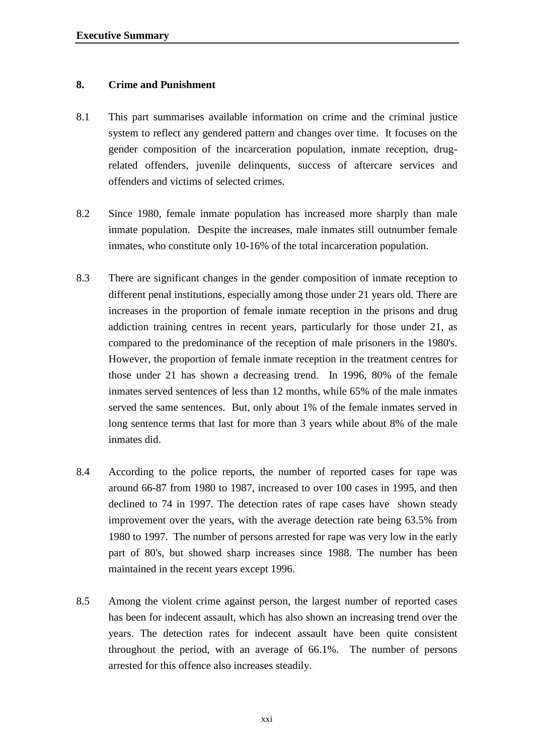#### **8. Crime and Punishment**

- 8.1 This part summarises available information on crime and the criminal justice system to reflect any gendered pattern and changes over time. It focuses on the gender composition of the incarceration population, inmate reception, drugrelated offenders, juvenile delinquents, success of aftercare services and offenders and victims of selected crimes.
- 8.2 Since 1980, female inmate population has increased more sharply than male inmate population. Despite the increases, male inmates still outnumber female inmates, who constitute only 10-16% of the total incarceration population.
- 8.3 There are significant changes in the gender composition of inmate reception to different penal institutions, especially among those under 21 years old. There are increases in the proportion of female inmate reception in the prisons and drug addiction training centres in recent years, particularly for those under 21, as compared to the predominance of the reception of male prisoners in the 1980's. However, the proportion of female inmate reception in the treatment centres for those under 21 has shown a decreasing trend. In 1996, 80% of the female inmates served sentences of less than 12 months, while 65% of the male inmates served the same sentences. But, only about 1% of the female inmates served in long sentence terms that last for more than 3 years while about 8% of the male inmates did.
- 8.4 According to the police reports, the number of reported cases for rape was around 66-87 from 1980 to 1987, increased to over 100 cases in 1995, and then declined to 74 in 1997. The detection rates of rape cases have shown steady improvement over the years, with the average detection rate being 63.5% from 1980 to 1997. The number of persons arrested for rape was very low in the early part of 80's, but showed sharp increases since 1988. The number has been maintained in the recent years except 1996.
- 8.5 Among the violent crime against person, the largest number of reported cases has been for indecent assault, which has also shown an increasing trend over the years. The detection rates for indecent assault have been quite consistent throughout the period, with an average of 66.1%. The number of persons arrested for this offence also increases steadily.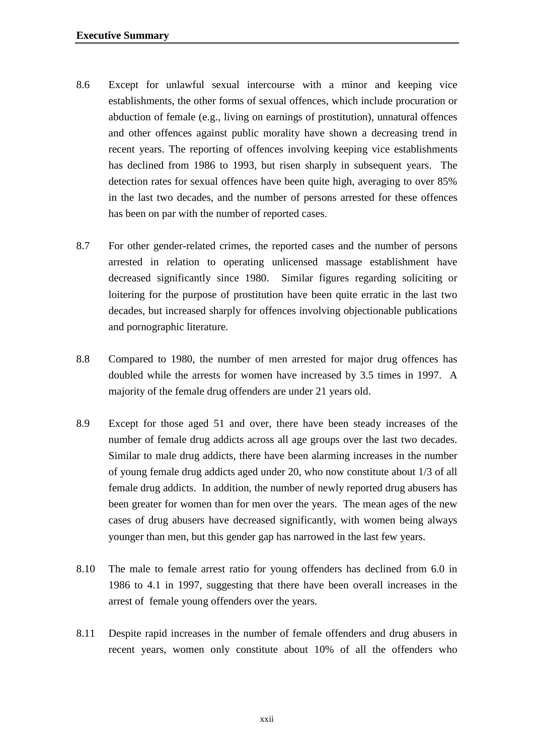- 8.6 Except for unlawful sexual intercourse with a minor and keeping vice establishments, the other forms of sexual offences, which include procuration or abduction of female (e.g., living on earnings of prostitution), unnatural offences and other offences against public morality have shown a decreasing trend in recent years. The reporting of offences involving keeping vice establishments has declined from 1986 to 1993, but risen sharply in subsequent years. The detection rates for sexual offences have been quite high, averaging to over 85% in the last two decades, and the number of persons arrested for these offences has been on par with the number of reported cases.
- 8.7 For other gender-related crimes, the reported cases and the number of persons arrested in relation to operating unlicensed massage establishment have decreased significantly since 1980. Similar figures regarding soliciting or loitering for the purpose of prostitution have been quite erratic in the last two decades, but increased sharply for offences involving objectionable publications and pornographic literature.
- 8.8 Compared to 1980, the number of men arrested for major drug offences has doubled while the arrests for women have increased by 3.5 times in 1997. A majority of the female drug offenders are under 21 years old.
- 8.9 Except for those aged 51 and over, there have been steady increases of the number of female drug addicts across all age groups over the last two decades. Similar to male drug addicts, there have been alarming increases in the number of young female drug addicts aged under 20, who now constitute about 1/3 of all female drug addicts. In addition, the number of newly reported drug abusers has been greater for women than for men over the years. The mean ages of the new cases of drug abusers have decreased significantly, with women being always younger than men, but this gender gap has narrowed in the last few years.
- 8.10 The male to female arrest ratio for young offenders has declined from 6.0 in 1986 to 4.1 in 1997, suggesting that there have been overall increases in the arrest of female young offenders over the years.
- 8.11 Despite rapid increases in the number of female offenders and drug abusers in recent years, women only constitute about 10% of all the offenders who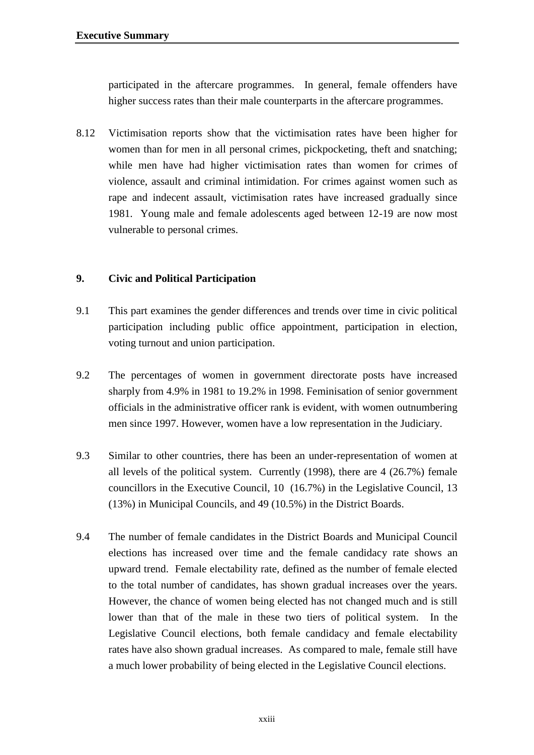participated in the aftercare programmes. In general, female offenders have higher success rates than their male counterparts in the aftercare programmes.

8.12 Victimisation reports show that the victimisation rates have been higher for women than for men in all personal crimes, pickpocketing, theft and snatching; while men have had higher victimisation rates than women for crimes of violence, assault and criminal intimidation. For crimes against women such as rape and indecent assault, victimisation rates have increased gradually since 1981. Young male and female adolescents aged between 12-19 are now most vulnerable to personal crimes.

## **9. Civic and Political Participation**

- 9.1 This part examines the gender differences and trends over time in civic political participation including public office appointment, participation in election, voting turnout and union participation.
- 9.2 The percentages of women in government directorate posts have increased sharply from 4.9% in 1981 to 19.2% in 1998. Feminisation of senior government officials in the administrative officer rank is evident, with women outnumbering men since 1997. However, women have a low representation in the Judiciary.
- 9.3 Similar to other countries, there has been an under-representation of women at all levels of the political system. Currently (1998), there are 4 (26.7%) female councillors in the Executive Council, 10 (16.7%) in the Legislative Council, 13 (13%) in Municipal Councils, and 49 (10.5%) in the District Boards.
- 9.4 The number of female candidates in the District Boards and Municipal Council elections has increased over time and the female candidacy rate shows an upward trend. Female electability rate, defined as the number of female elected to the total number of candidates, has shown gradual increases over the years. However, the chance of women being elected has not changed much and is still lower than that of the male in these two tiers of political system. In the Legislative Council elections, both female candidacy and female electability rates have also shown gradual increases. As compared to male, female still have a much lower probability of being elected in the Legislative Council elections.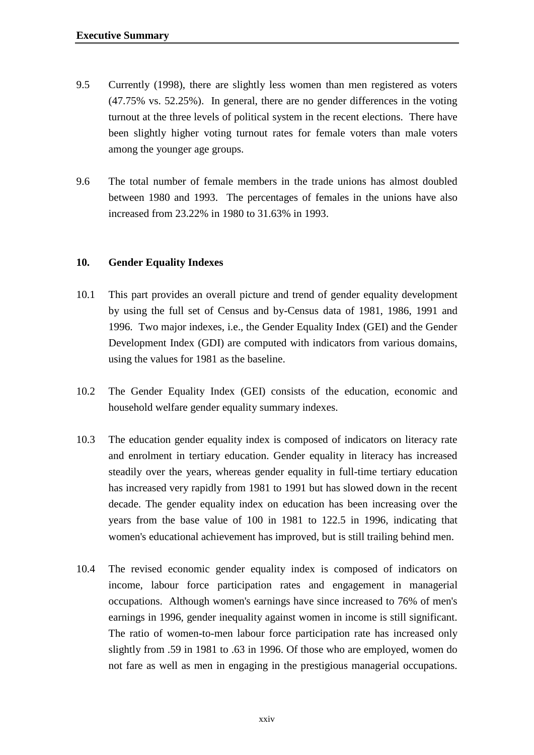- 9.5 Currently (1998), there are slightly less women than men registered as voters (47.75% vs. 52.25%). In general, there are no gender differences in the voting turnout at the three levels of political system in the recent elections. There have been slightly higher voting turnout rates for female voters than male voters among the younger age groups.
- 9.6 The total number of female members in the trade unions has almost doubled between 1980 and 1993. The percentages of females in the unions have also increased from 23.22% in 1980 to 31.63% in 1993.

## **10. Gender Equality Indexes**

- 10.1 This part provides an overall picture and trend of gender equality development by using the full set of Census and by-Census data of 1981, 1986, 1991 and 1996. Two major indexes, i.e., the Gender Equality Index (GEI) and the Gender Development Index (GDI) are computed with indicators from various domains, using the values for 1981 as the baseline.
- 10.2 The Gender Equality Index (GEI) consists of the education, economic and household welfare gender equality summary indexes.
- 10.3 The education gender equality index is composed of indicators on literacy rate and enrolment in tertiary education. Gender equality in literacy has increased steadily over the years, whereas gender equality in full-time tertiary education has increased very rapidly from 1981 to 1991 but has slowed down in the recent decade. The gender equality index on education has been increasing over the years from the base value of 100 in 1981 to 122.5 in 1996, indicating that women's educational achievement has improved, but is still trailing behind men.
- 10.4 The revised economic gender equality index is composed of indicators on income, labour force participation rates and engagement in managerial occupations. Although women's earnings have since increased to 76% of men's earnings in 1996, gender inequality against women in income is still significant. The ratio of women-to-men labour force participation rate has increased only slightly from .59 in 1981 to .63 in 1996. Of those who are employed, women do not fare as well as men in engaging in the prestigious managerial occupations.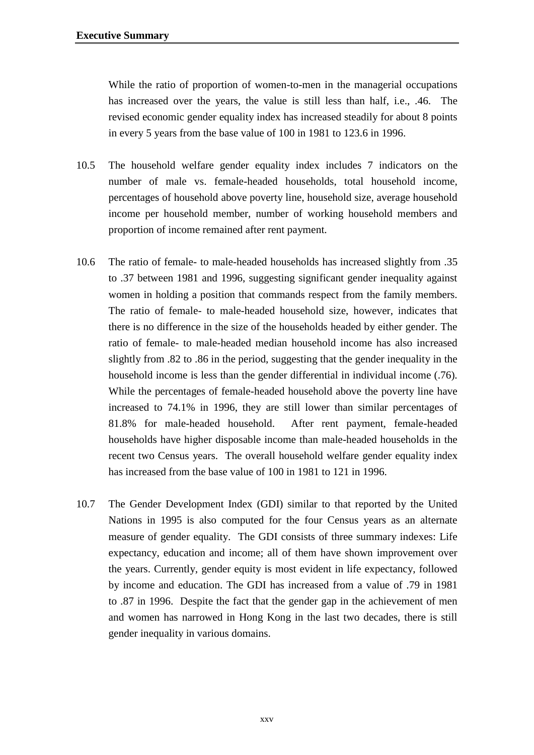While the ratio of proportion of women-to-men in the managerial occupations has increased over the years, the value is still less than half, i.e., .46. The revised economic gender equality index has increased steadily for about 8 points in every 5 years from the base value of 100 in 1981 to 123.6 in 1996.

- 10.5 The household welfare gender equality index includes 7 indicators on the number of male vs. female-headed households, total household income, percentages of household above poverty line, household size, average household income per household member, number of working household members and proportion of income remained after rent payment.
- 10.6 The ratio of female- to male-headed households has increased slightly from .35 to .37 between 1981 and 1996, suggesting significant gender inequality against women in holding a position that commands respect from the family members. The ratio of female- to male-headed household size, however, indicates that there is no difference in the size of the households headed by either gender. The ratio of female- to male-headed median household income has also increased slightly from .82 to .86 in the period, suggesting that the gender inequality in the household income is less than the gender differential in individual income (.76). While the percentages of female-headed household above the poverty line have increased to 74.1% in 1996, they are still lower than similar percentages of 81.8% for male-headed household. After rent payment, female-headed households have higher disposable income than male-headed households in the recent two Census years. The overall household welfare gender equality index has increased from the base value of 100 in 1981 to 121 in 1996.
- 10.7 The Gender Development Index (GDI) similar to that reported by the United Nations in 1995 is also computed for the four Census years as an alternate measure of gender equality. The GDI consists of three summary indexes: Life expectancy, education and income; all of them have shown improvement over the years. Currently, gender equity is most evident in life expectancy, followed by income and education. The GDI has increased from a value of .79 in 1981 to .87 in 1996. Despite the fact that the gender gap in the achievement of men and women has narrowed in Hong Kong in the last two decades, there is still gender inequality in various domains.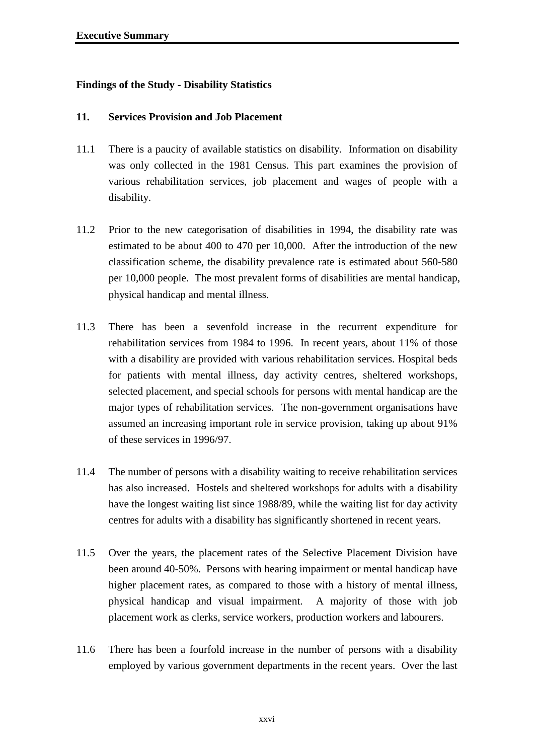# **Findings of the Study - Disability Statistics**

#### **11. Services Provision and Job Placement**

- 11.1 There is a paucity of available statistics on disability. Information on disability was only collected in the 1981 Census. This part examines the provision of various rehabilitation services, job placement and wages of people with a disability.
- 11.2 Prior to the new categorisation of disabilities in 1994, the disability rate was estimated to be about 400 to 470 per 10,000. After the introduction of the new classification scheme, the disability prevalence rate is estimated about 560-580 per 10,000 people. The most prevalent forms of disabilities are mental handicap, physical handicap and mental illness.
- 11.3 There has been a sevenfold increase in the recurrent expenditure for rehabilitation services from 1984 to 1996. In recent years, about 11% of those with a disability are provided with various rehabilitation services. Hospital beds for patients with mental illness, day activity centres, sheltered workshops, selected placement, and special schools for persons with mental handicap are the major types of rehabilitation services. The non-government organisations have assumed an increasing important role in service provision, taking up about 91% of these services in 1996/97.
- 11.4 The number of persons with a disability waiting to receive rehabilitation services has also increased. Hostels and sheltered workshops for adults with a disability have the longest waiting list since 1988/89, while the waiting list for day activity centres for adults with a disability has significantly shortened in recent years.
- 11.5 Over the years, the placement rates of the Selective Placement Division have been around 40-50%. Persons with hearing impairment or mental handicap have higher placement rates, as compared to those with a history of mental illness, physical handicap and visual impairment. A majority of those with job placement work as clerks, service workers, production workers and labourers.
- 11.6 There has been a fourfold increase in the number of persons with a disability employed by various government departments in the recent years. Over the last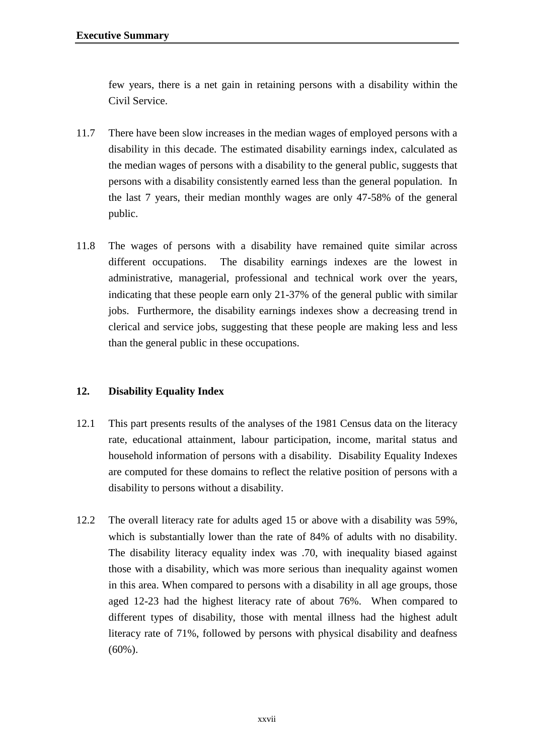few years, there is a net gain in retaining persons with a disability within the Civil Service.

- 11.7 There have been slow increases in the median wages of employed persons with a disability in this decade. The estimated disability earnings index, calculated as the median wages of persons with a disability to the general public, suggests that persons with a disability consistently earned less than the general population. In the last 7 years, their median monthly wages are only 47-58% of the general public.
- 11.8 The wages of persons with a disability have remained quite similar across different occupations. The disability earnings indexes are the lowest in administrative, managerial, professional and technical work over the years, indicating that these people earn only 21-37% of the general public with similar jobs. Furthermore, the disability earnings indexes show a decreasing trend in clerical and service jobs, suggesting that these people are making less and less than the general public in these occupations.

# **12. Disability Equality Index**

- 12.1 This part presents results of the analyses of the 1981 Census data on the literacy rate, educational attainment, labour participation, income, marital status and household information of persons with a disability. Disability Equality Indexes are computed for these domains to reflect the relative position of persons with a disability to persons without a disability.
- 12.2 The overall literacy rate for adults aged 15 or above with a disability was 59%, which is substantially lower than the rate of 84% of adults with no disability. The disability literacy equality index was .70, with inequality biased against those with a disability, which was more serious than inequality against women in this area. When compared to persons with a disability in all age groups, those aged 12-23 had the highest literacy rate of about 76%. When compared to different types of disability, those with mental illness had the highest adult literacy rate of 71%, followed by persons with physical disability and deafness (60%).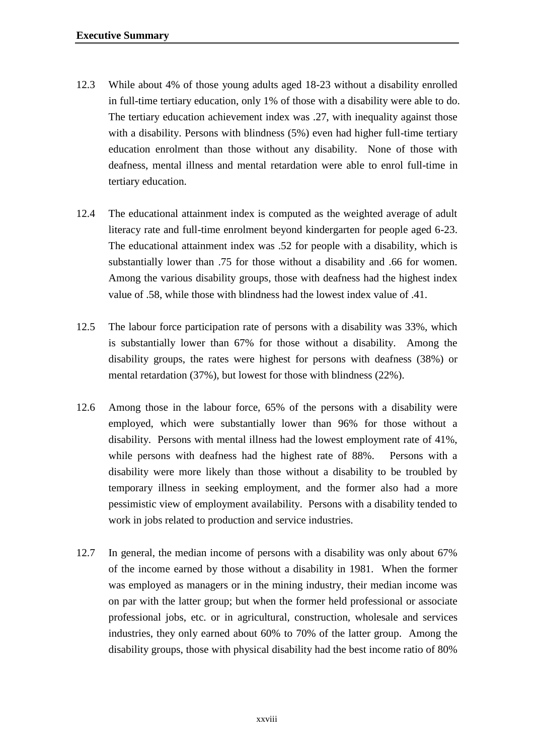- 12.3 While about 4% of those young adults aged 18-23 without a disability enrolled in full-time tertiary education, only 1% of those with a disability were able to do. The tertiary education achievement index was .27, with inequality against those with a disability. Persons with blindness (5%) even had higher full-time tertiary education enrolment than those without any disability. None of those with deafness, mental illness and mental retardation were able to enrol full-time in tertiary education.
- 12.4 The educational attainment index is computed as the weighted average of adult literacy rate and full-time enrolment beyond kindergarten for people aged 6-23. The educational attainment index was .52 for people with a disability, which is substantially lower than .75 for those without a disability and .66 for women. Among the various disability groups, those with deafness had the highest index value of .58, while those with blindness had the lowest index value of .41.
- 12.5 The labour force participation rate of persons with a disability was 33%, which is substantially lower than 67% for those without a disability. Among the disability groups, the rates were highest for persons with deafness (38%) or mental retardation (37%), but lowest for those with blindness (22%).
- 12.6 Among those in the labour force, 65% of the persons with a disability were employed, which were substantially lower than 96% for those without a disability. Persons with mental illness had the lowest employment rate of 41%, while persons with deafness had the highest rate of 88%. Persons with a disability were more likely than those without a disability to be troubled by temporary illness in seeking employment, and the former also had a more pessimistic view of employment availability. Persons with a disability tended to work in jobs related to production and service industries.
- 12.7 In general, the median income of persons with a disability was only about 67% of the income earned by those without a disability in 1981. When the former was employed as managers or in the mining industry, their median income was on par with the latter group; but when the former held professional or associate professional jobs, etc. or in agricultural, construction, wholesale and services industries, they only earned about 60% to 70% of the latter group. Among the disability groups, those with physical disability had the best income ratio of 80%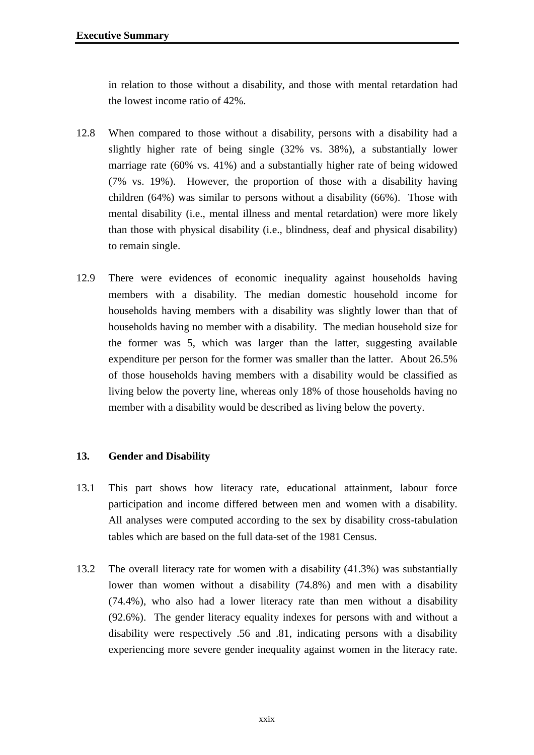in relation to those without a disability, and those with mental retardation had the lowest income ratio of 42%.

- 12.8 When compared to those without a disability, persons with a disability had a slightly higher rate of being single (32% vs. 38%), a substantially lower marriage rate (60% vs. 41%) and a substantially higher rate of being widowed (7% vs. 19%). However, the proportion of those with a disability having children (64%) was similar to persons without a disability (66%). Those with mental disability (i.e., mental illness and mental retardation) were more likely than those with physical disability (i.e., blindness, deaf and physical disability) to remain single.
- 12.9 There were evidences of economic inequality against households having members with a disability. The median domestic household income for households having members with a disability was slightly lower than that of households having no member with a disability. The median household size for the former was 5, which was larger than the latter, suggesting available expenditure per person for the former was smaller than the latter. About 26.5% of those households having members with a disability would be classified as living below the poverty line, whereas only 18% of those households having no member with a disability would be described as living below the poverty.

# **13. Gender and Disability**

- 13.1 This part shows how literacy rate, educational attainment, labour force participation and income differed between men and women with a disability. All analyses were computed according to the sex by disability cross-tabulation tables which are based on the full data-set of the 1981 Census.
- 13.2 The overall literacy rate for women with a disability (41.3%) was substantially lower than women without a disability (74.8%) and men with a disability (74.4%), who also had a lower literacy rate than men without a disability (92.6%). The gender literacy equality indexes for persons with and without a disability were respectively .56 and .81, indicating persons with a disability experiencing more severe gender inequality against women in the literacy rate.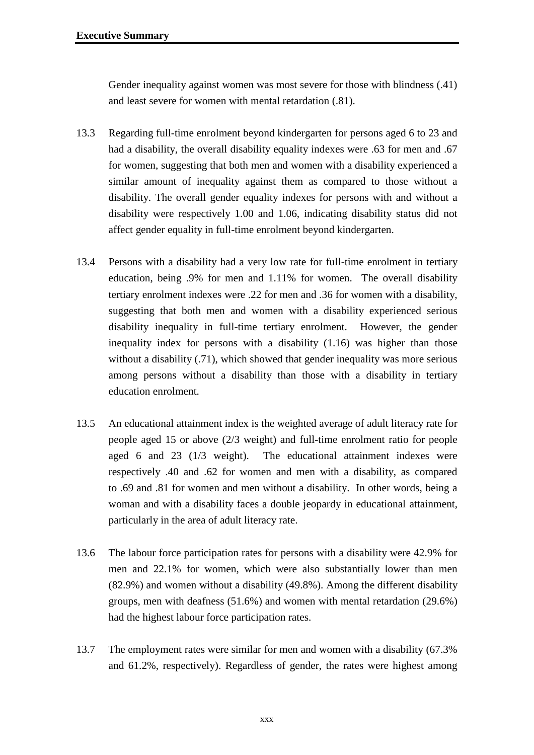Gender inequality against women was most severe for those with blindness (.41) and least severe for women with mental retardation (.81).

- 13.3 Regarding full-time enrolment beyond kindergarten for persons aged 6 to 23 and had a disability, the overall disability equality indexes were .63 for men and .67 for women, suggesting that both men and women with a disability experienced a similar amount of inequality against them as compared to those without a disability. The overall gender equality indexes for persons with and without a disability were respectively 1.00 and 1.06, indicating disability status did not affect gender equality in full-time enrolment beyond kindergarten.
- 13.4 Persons with a disability had a very low rate for full-time enrolment in tertiary education, being .9% for men and 1.11% for women. The overall disability tertiary enrolment indexes were .22 for men and .36 for women with a disability, suggesting that both men and women with a disability experienced serious disability inequality in full-time tertiary enrolment. However, the gender inequality index for persons with a disability (1.16) was higher than those without a disability (.71), which showed that gender inequality was more serious among persons without a disability than those with a disability in tertiary education enrolment.
- 13.5 An educational attainment index is the weighted average of adult literacy rate for people aged 15 or above (2/3 weight) and full-time enrolment ratio for people aged 6 and 23 (1/3 weight). The educational attainment indexes were respectively .40 and .62 for women and men with a disability, as compared to .69 and .81 for women and men without a disability. In other words, being a woman and with a disability faces a double jeopardy in educational attainment, particularly in the area of adult literacy rate.
- 13.6 The labour force participation rates for persons with a disability were 42.9% for men and 22.1% for women, which were also substantially lower than men (82.9%) and women without a disability (49.8%). Among the different disability groups, men with deafness (51.6%) and women with mental retardation (29.6%) had the highest labour force participation rates.
- 13.7 The employment rates were similar for men and women with a disability (67.3% and 61.2%, respectively). Regardless of gender, the rates were highest among